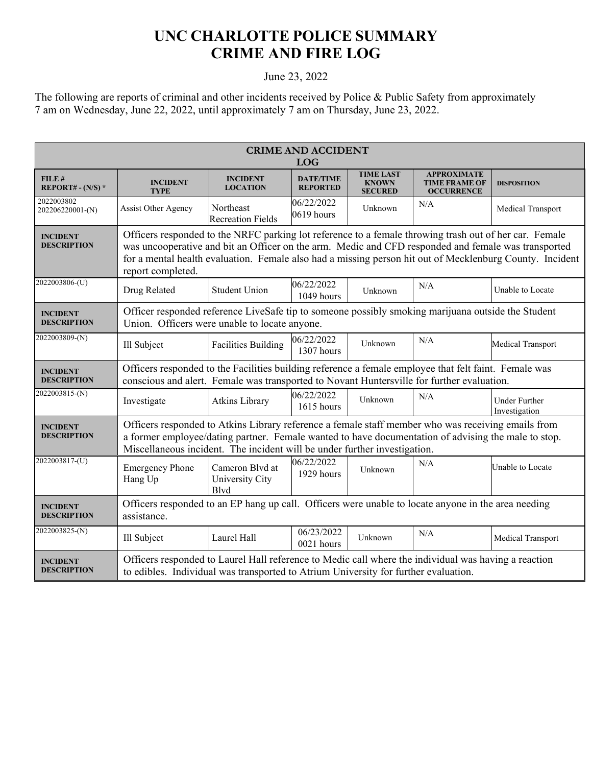## **UNC CHARLOTTE POLICE SUMMARY CRIME AND FIRE LOG**

## June 23, 2022

The following are reports of criminal and other incidents received by Police & Public Safety from approximately 7 am on Wednesday, June 22, 2022, until approximately 7 am on Thursday, June 23, 2022.

| <b>CRIME AND ACCIDENT</b><br><b>LOG</b> |                                                                                                                                                                                                                                                                                                                                                |                                                    |                                     |                                                    |                                                                 |                                       |  |
|-----------------------------------------|------------------------------------------------------------------------------------------------------------------------------------------------------------------------------------------------------------------------------------------------------------------------------------------------------------------------------------------------|----------------------------------------------------|-------------------------------------|----------------------------------------------------|-----------------------------------------------------------------|---------------------------------------|--|
| FILE#<br>REPORT# - $(N/S)$ *            | <b>INCIDENT</b><br><b>TYPE</b>                                                                                                                                                                                                                                                                                                                 | <b>INCIDENT</b><br><b>LOCATION</b>                 | <b>DATE/TIME</b><br><b>REPORTED</b> | <b>TIME LAST</b><br><b>KNOWN</b><br><b>SECURED</b> | <b>APPROXIMATE</b><br><b>TIME FRAME OF</b><br><b>OCCURRENCE</b> | <b>DISPOSITION</b>                    |  |
| 2022003802<br>202206220001-(N)          | Assist Other Agency                                                                                                                                                                                                                                                                                                                            | Northeast<br><b>Recreation Fields</b>              | 06/22/2022<br>$0619$ hours          | Unknown                                            | N/A                                                             | Medical Transport                     |  |
| <b>INCIDENT</b><br><b>DESCRIPTION</b>   | Officers responded to the NRFC parking lot reference to a female throwing trash out of her car. Female<br>was uncooperative and bit an Officer on the arm. Medic and CFD responded and female was transported<br>for a mental health evaluation. Female also had a missing person hit out of Mecklenburg County. Incident<br>report completed. |                                                    |                                     |                                                    |                                                                 |                                       |  |
| 2022003806-(U)                          | Drug Related                                                                                                                                                                                                                                                                                                                                   | <b>Student Union</b>                               | 06/22/2022<br>1049 hours            | Unknown                                            | N/A                                                             | Unable to Locate                      |  |
| <b>INCIDENT</b><br><b>DESCRIPTION</b>   | Officer responded reference LiveSafe tip to someone possibly smoking marijuana outside the Student<br>Union. Officers were unable to locate anyone.                                                                                                                                                                                            |                                                    |                                     |                                                    |                                                                 |                                       |  |
| 2022003809-(N)                          | Ill Subject                                                                                                                                                                                                                                                                                                                                    | <b>Facilities Building</b>                         | 06/22/2022<br>1307 hours            | Unknown                                            | N/A                                                             | Medical Transport                     |  |
| <b>INCIDENT</b><br><b>DESCRIPTION</b>   | Officers responded to the Facilities building reference a female employee that felt faint. Female was<br>conscious and alert. Female was transported to Novant Huntersville for further evaluation.                                                                                                                                            |                                                    |                                     |                                                    |                                                                 |                                       |  |
| 2022003815-(N)                          | Investigate                                                                                                                                                                                                                                                                                                                                    | Atkins Library                                     | 06/22/2022<br>1615 hours            | Unknown                                            | N/A                                                             | <b>Under Further</b><br>Investigation |  |
| <b>INCIDENT</b><br><b>DESCRIPTION</b>   | Officers responded to Atkins Library reference a female staff member who was receiving emails from<br>a former employee/dating partner. Female wanted to have documentation of advising the male to stop.<br>Miscellaneous incident. The incident will be under further investigation.                                                         |                                                    |                                     |                                                    |                                                                 |                                       |  |
| 2022003817-(U)                          | <b>Emergency Phone</b><br>Hang Up                                                                                                                                                                                                                                                                                                              | Cameron Blvd at<br>University City<br><b>B</b> lvd | 06/22/2022<br>1929 hours            | Unknown                                            | N/A                                                             | Unable to Locate                      |  |
| <b>INCIDENT</b><br><b>DESCRIPTION</b>   | Officers responded to an EP hang up call. Officers were unable to locate anyone in the area needing<br>assistance.                                                                                                                                                                                                                             |                                                    |                                     |                                                    |                                                                 |                                       |  |
| 2022003825-(N)                          | Ill Subject                                                                                                                                                                                                                                                                                                                                    | Laurel Hall                                        | 06/23/2022<br>0021 hours            | Unknown                                            | N/A                                                             | Medical Transport                     |  |
| <b>INCIDENT</b><br><b>DESCRIPTION</b>   | Officers responded to Laurel Hall reference to Medic call where the individual was having a reaction<br>to edibles. Individual was transported to Atrium University for further evaluation.                                                                                                                                                    |                                                    |                                     |                                                    |                                                                 |                                       |  |